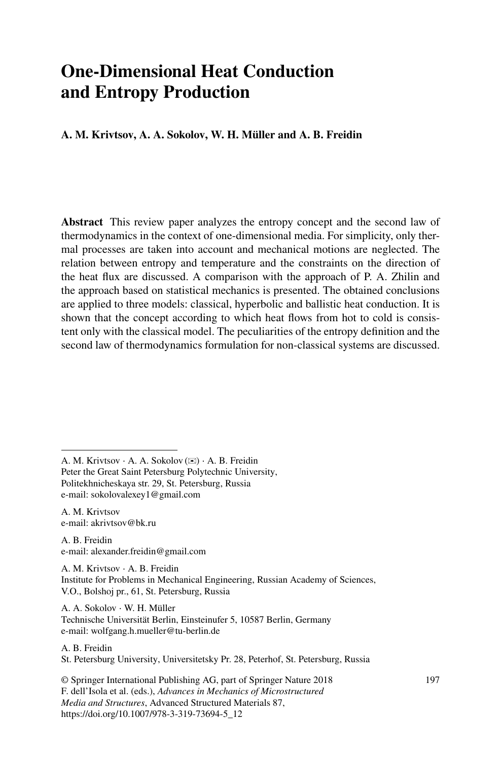# **One-Dimensional Heat Conduction and Entropy Production**

#### **A. M. Krivtsov, A. A. Sokolov, W. H. Müller and A. B. Freidin**

**Abstract** This review paper analyzes the entropy concept and the second law of thermodynamics in the context of one-dimensional media. For simplicity, only thermal processes are taken into account and mechanical motions are neglected. The relation between entropy and temperature and the constraints on the direction of the heat flux are discussed. A comparison with the approach of P. A. Zhilin and the approach based on statistical mechanics is presented. The obtained conclusions are applied to three models: classical, hyperbolic and ballistic heat conduction. It is shown that the concept according to which heat flows from hot to cold is consistent only with the classical model. The peculiarities of the entropy definition and the second law of thermodynamics formulation for non-classical systems are discussed.

A. M. Krivtsov ⋅ A. A. Sokolov (✉) ⋅ A. B. Freidin Peter the Great Saint Petersburg Polytechnic University, Politekhnicheskaya str. 29, St. Petersburg, Russia e-mail: sokolovalexey1@gmail.com

A. M. Krivtsov e-mail: akrivtsov@bk.ru

A. B. Freidin e-mail: alexander.freidin@gmail.com

A. M. Krivtsov ⋅ A. B. Freidin Institute for Problems in Mechanical Engineering, Russian Academy of Sciences, V.O., Bolshoj pr., 61, St. Petersburg, Russia

A. A. Sokolov ⋅ W. H. Müller Technische Universität Berlin, Einsteinufer 5, 10587 Berlin, Germany e-mail: wolfgang.h.mueller@tu-berlin.de

A. B. Freidin

St. Petersburg University, Universitetsky Pr. 28, Peterhof, St. Petersburg, Russia

© Springer International Publishing AG, part of Springer Nature 2018 F. dell'Isola et al. (eds.), *Advances in Mechanics of Microstructured Media and Structures*, Advanced Structured Materials 87, https://doi.org/10.1007/978-3-319-73694-5\_12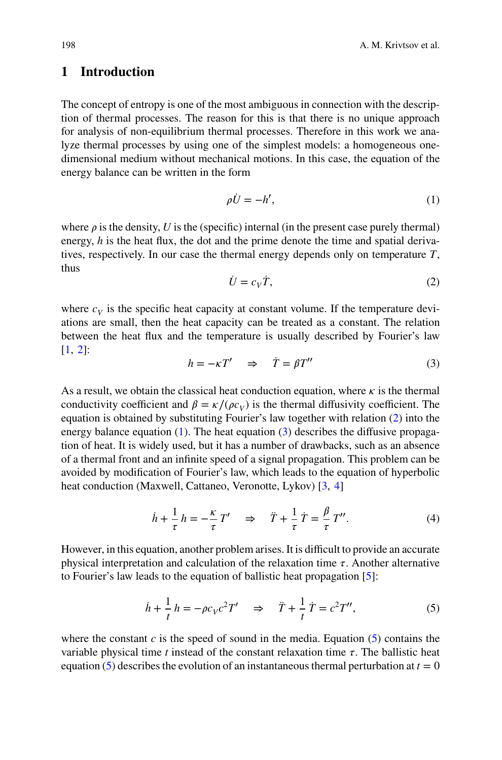# <span id="page-1-0"></span>**1 Introduction**

The concept of entropy is one of the most ambiguous in connection with the description of thermal processes. The reason for this is that there is no unique approach for analysis of non-equilibrium thermal processes. Therefore in this work we analyze thermal processes by using one of the simplest models: a homogeneous onedimensional medium without mechanical motions. In this case, the equation of the energy balance can be written in the form

$$
\rho \dot{U} = -h',\tag{1}
$$

where  $\rho$  is the density, *U* is the (specific) internal (in the present case purely thermal) energy, *h* is the heat flux, the dot and the prime denote the time and spatial derivatives, respectively. In our case the thermal energy depends only on temperature *T*, thus

$$
\dot{U} = c_V \dot{T},\tag{2}
$$

where  $c_V$  is the specific heat capacity at constant volume. If the temperature deviations are small, then the heat capacity can be treated as a constant. The relation between the heat flux and the temperature is usually described by Fourier's law  $[1, 2]$  $[1, 2]$  $[1, 2]$ :

$$
h = -\kappa T' \quad \Rightarrow \quad \dot{T} = \beta T'' \tag{3}
$$

As a result, we obtain the classical heat conduction equation, where  $\kappa$  is the thermal conductivity coefficient and  $\beta = \kappa/(\rho c_V)$  is the thermal diffusivity coefficient. The equation is obtained by substituting Fourier's law together with relation (2) into the energy balance equation  $(1)$ . The heat equation  $(3)$  describes the diffusive propagation of heat. It is widely used, but it has a number of drawbacks, such as an absence of a thermal front and an infinite speed of a signal propagation. This problem can be avoided by modification of Fourier's law, which leads to the equation of hyperbolic heat conduction (Maxwell, Cattaneo, Veronotte, Lykov) [\[3,](#page-15-0) [4\]](#page-16-0)

$$
\dot{h} + \frac{1}{\tau} h = -\frac{\kappa}{\tau} T' \quad \Rightarrow \quad \ddot{T} + \frac{1}{\tau} \dot{T} = \frac{\beta}{\tau} T''.
$$
 (4)

However, in this equation, another problem arises. It is difficult to provide an accurate physical interpretation and calculation of the relaxation time  $\tau$ . Another alternative to Fourier's law leads to the equation of ballistic heat propagation [\[5](#page-16-0)]:

$$
\dot{h} + \frac{1}{t}h = -\rho c_V c^2 T' \quad \Rightarrow \quad \ddot{T} + \frac{1}{t}\dot{T} = c^2 T'',\tag{5}
$$

where the constant  $c$  is the speed of sound in the media. Equation  $(5)$  contains the variable physical time  $t$  instead of the constant relaxation time  $\tau$ . The ballistic heat equation (5) describes the evolution of an instantaneous thermal perturbation at  $t = 0$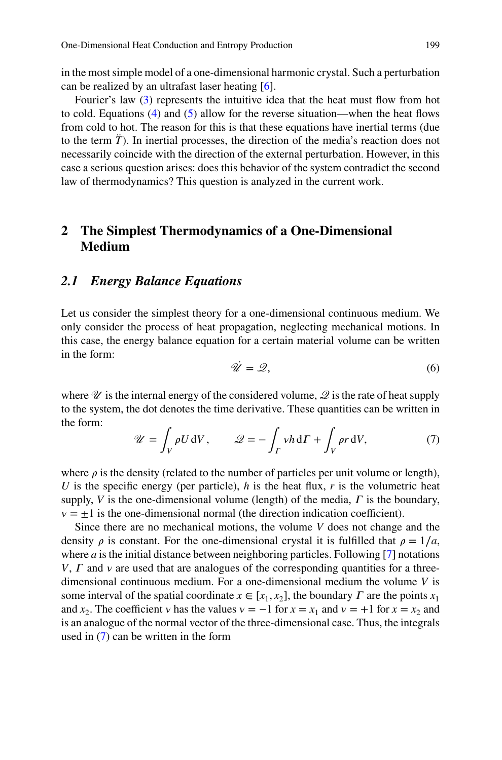<span id="page-2-0"></span>in the most simple model of a one-dimensional harmonic crystal. Such a perturbation can be realized by an ultrafast laser heating [\[6](#page-16-0)].

Fourier's law [\(3\)](#page-1-0) represents the intuitive idea that the heat must flow from hot to cold. Equations  $(4)$  and  $(5)$  allow for the reverse situation—when the heat flows from cold to hot. The reason for this is that these equations have inertial terms (due to the term *T̈* ). In inertial processes, the direction of the media's reaction does not necessarily coincide with the direction of the external perturbation. However, in this case a serious question arises: does this behavior of the system contradict the second law of thermodynamics? This question is analyzed in the current work.

# **2 The Simplest Thermodynamics of a One-Dimensional Medium**

#### *2.1 Energy Balance Equations*

Let us consider the simplest theory for a one-dimensional continuous medium. We only consider the process of heat propagation, neglecting mechanical motions. In this case, the energy balance equation for a certain material volume can be written in the form:

$$
\dot{\mathcal{U}} = \mathcal{Q},\tag{6}
$$

where  $\mathcal U$  is the internal energy of the considered volume,  $\mathcal Q$  is the rate of heat supply to the system, the dot denotes the time derivative. These quantities can be written in the form:

$$
\mathscr{U} = \int_{V} \rho U \, \mathrm{d}V, \qquad \mathscr{Q} = -\int_{\Gamma} v h \, \mathrm{d}\Gamma + \int_{V} \rho r \, \mathrm{d}V, \tag{7}
$$

where  $\rho$  is the density (related to the number of particles per unit volume or length), *U* is the specific energy (per particle), *h* is the heat flux, *r* is the volumetric heat supply,  $V$  is the one-dimensional volume (length) of the media,  $\Gamma$  is the boundary,  $v = \pm 1$  is the one-dimensional normal (the direction indication coefficient).

Since there are no mechanical motions, the volume *V* does not change and the density  $\rho$  is constant. For the one-dimensional crystal it is fulfilled that  $\rho = 1/a$ , where *a* is the initial distance between neighboring particles. Following [\[7](#page-16-0)] notations *V*,  $\Gamma$  and  $\nu$  are used that are analogues of the corresponding quantities for a threedimensional continuous medium. For a one-dimensional medium the volume *V* is some interval of the spatial coordinate  $x \in [x_1, x_2]$ , the boundary  $\Gamma$  are the points  $x_1$ and *x*<sub>2</sub>. The coefficient *v* has the values  $v = -1$  for  $x = x_1$  and  $v = +1$  for  $x = x_2$  and is an analogue of the normal vector of the three-dimensional case. Thus, the integrals used in (7) can be written in the form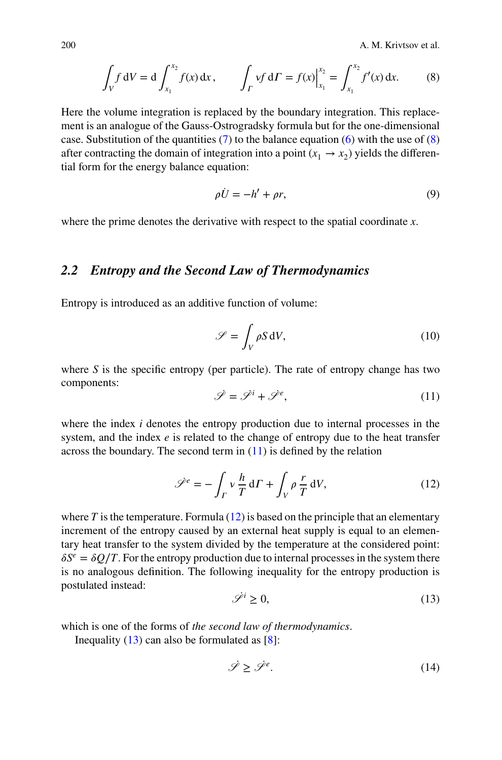<span id="page-3-0"></span>200 A. M. Krivtsov et al.

$$
\int_{V} f \, dV = d \int_{x_1}^{x_2} f(x) \, dx, \qquad \int_{\Gamma} v f \, d\Gamma = f(x) \Big|_{x_1}^{x_2} = \int_{x_1}^{x_2} f'(x) \, dx. \tag{8}
$$

Here the volume integration is replaced by the boundary integration. This replacement is an analogue of the Gauss-Ostrogradsky formula but for the one-dimensional case. Substitution of the quantities  $(7)$  to the balance equation [\(6\)](#page-2-0) with the use of  $(8)$ after contracting the domain of integration into a point  $(x_1 \rightarrow x_2)$  yields the differential form for the energy balance equation:

$$
\rho \dot{U} = -h' + \rho r,\tag{9}
$$

where the prime denotes the derivative with respect to the spatial coordinate *x*.

## *2.2 Entropy and the Second Law of Thermodynamics*

Entropy is introduced as an additive function of volume:

$$
\mathscr{S} = \int_{V} \rho S \, dV,\tag{10}
$$

where *S* is the specific entropy (per particle). The rate of entropy change has two components:

$$
\dot{\mathscr{S}} = \dot{\mathscr{S}}^i + \dot{\mathscr{S}}^e,\tag{11}
$$

where the index *i* denotes the entropy production due to internal processes in the system, and the index *e* is related to the change of entropy due to the heat transfer across the boundary. The second term in  $(11)$  is defined by the relation

$$
\mathcal{S}^e = -\int_{\Gamma} v \frac{h}{T} d\Gamma + \int_{V} \rho \frac{r}{T} dV, \qquad (12)
$$

where  $T$  is the temperature. Formula  $(12)$  is based on the principle that an elementary increment of the entropy caused by an external heat supply is equal to an elementary heat transfer to the system divided by the temperature at the considered point:  $\delta S^e = \delta Q/T$ . For the entropy production due to internal processes in the system there is no analogous definition. The following inequality for the entropy production is postulated instead:

$$
\mathscr{S}^i \ge 0,\tag{13}
$$

which is one of the forms of *the second law of thermodynamics*.

Inequality  $(13)$  can also be formulated as  $[8]$  $[8]$ :

$$
\dot{\mathscr{S}} \geq \dot{\mathscr{S}}^e. \tag{14}
$$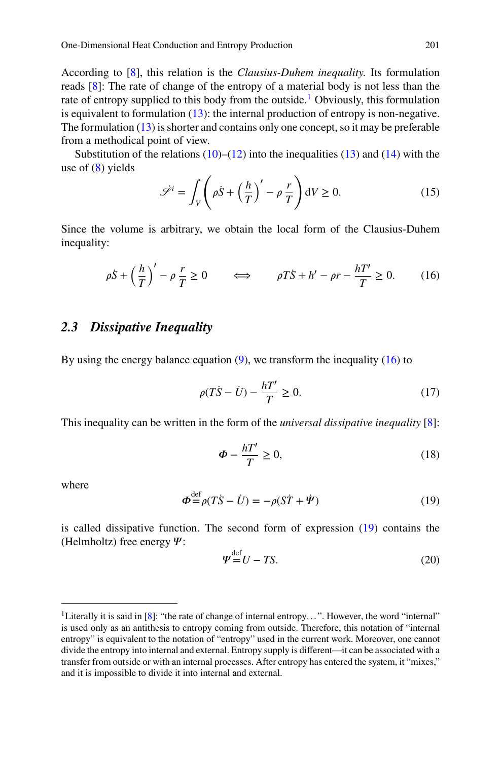<span id="page-4-0"></span>One-Dimensional Heat Conduction and Entropy Production 201

According to [\[8](#page-16-0)], this relation is the *Clausius-Duhem inequality.* Its formulation reads [\[8\]](#page-16-0): The rate of change of the entropy of a material body is not less than the rate of entropy supplied to this body from the outside.<sup>1</sup> Obviously, this formulation is equivalent to formulation [\(13\)](#page-3-0): the internal production of entropy is non-negative. The formulation  $(13)$  is shorter and contains only one concept, so it may be preferable from a methodical point of view.

Substitution of the relations  $(10)$ – $(12)$  into the inequalities  $(13)$  and  $(14)$  with the use of  $(8)$  yields  $\overline{\phantom{a}}$  $\mathbf{r}$ 

$$
\mathcal{S}^{i} = \int_{V} \left( \rho \dot{S} + \left( \frac{h}{T} \right)^{\prime} - \rho \frac{r}{T} \right) dV \ge 0.
$$
 (15)

Since the volume is arbitrary, we obtain the local form of the Clausius-Duhem inequality:

$$
\rho \dot{S} + \left(\frac{h}{T}\right)' - \rho \frac{r}{T} \ge 0 \qquad \Longleftrightarrow \qquad \rho T \dot{S} + h' - \rho r - \frac{hT'}{T} \ge 0. \tag{16}
$$

# *2.3 Dissipative Inequality*

By using the energy balance equation  $(9)$ , we transform the inequality  $(16)$  to

$$
\rho(T\dot{S} - \dot{U}) - \frac{hT'}{T} \ge 0.
$$
\n(17)

This inequality can be written in the form of the *universal dissipative inequality* [\[8](#page-16-0)]:

$$
\Phi - \frac{hT'}{T} \ge 0,\tag{18}
$$

where

$$
\Phi^{\text{def}} = \rho(T\dot{S} - \dot{U}) = -\rho(S\dot{T} + \dot{\Psi})
$$
\n(19)

is called dissipative function. The second form of expression (19) contains the (Helmholtz) free energy  $\Psi$ :

$$
\Psi^{\text{def}} = U - TS. \tag{20}
$$

<sup>&</sup>lt;sup>1</sup>Literally it is said in [\[8](#page-16-0)]: "the rate of change of internal entropy...". However, the word "internal" is used only as an antithesis to entropy coming from outside. Therefore, this notation of "internal entropy" is equivalent to the notation of "entropy" used in the current work. Moreover, one cannot divide the entropy into internal and external. Entropy supply is different—it can be associated with a transfer from outside or with an internal processes. After entropy has entered the system, it "mixes," and it is impossible to divide it into internal and external.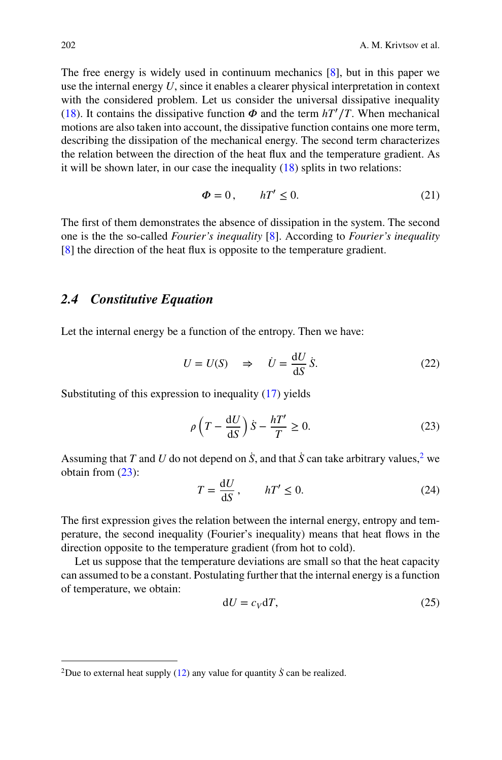<span id="page-5-0"></span>The free energy is widely used in continuum mechanics [\[8](#page-16-0)], but in this paper we use the internal energy *U*, since it enables a clearer physical interpretation in context with the considered problem. Let us consider the universal dissipative inequality [\(18\)](#page-4-0). It contains the dissipative function  $\Phi$  and the term  $hT'/T$ . When mechanical motions are also taken into account, the dissipative function contains one more term, describing the dissipation of the mechanical energy. The second term characterizes the relation between the direction of the heat flux and the temperature gradient. As it will be shown later, in our case the inequality  $(18)$  splits in two relations:

$$
\Phi = 0, \qquad hT' \le 0. \tag{21}
$$

The first of them demonstrates the absence of dissipation in the system. The second one is the the so-called *Fourier's inequality* [\[8\]](#page-16-0). According to *Fourier's inequality* [\[8\]](#page-16-0) the direction of the heat flux is opposite to the temperature gradient.

## *2.4 Constitutive Equation*

Let the internal energy be a function of the entropy. Then we have:

$$
U = U(S) \quad \Rightarrow \quad \dot{U} = \frac{\mathrm{d}U}{\mathrm{d}S} \dot{S}.
$$
 (22)

Substituting of this expression to inequality [\(17\)](#page-4-0) yields

$$
\rho \left( T - \frac{\mathrm{d}U}{\mathrm{d}S} \right) \dot{S} - \frac{hT'}{T} \ge 0. \tag{23}
$$

Assuming that *T* and *U* do not depend on *S*, and that *S* can take arbitrary values, <sup>2</sup> we obtain from (23):

$$
T = \frac{\mathrm{d}U}{\mathrm{d}S}, \qquad hT' \le 0. \tag{24}
$$

The first expression gives the relation between the internal energy, entropy and temperature, the second inequality (Fourier's inequality) means that heat flows in the direction opposite to the temperature gradient (from hot to cold).

Let us suppose that the temperature deviations are small so that the heat capacity can assumed to be a constant. Postulating further that the internal energy is a function of temperature, we obtain:

$$
dU = c_V dT, \t\t(25)
$$

<sup>&</sup>lt;sup>2</sup>Due to external heat supply [\(12\)](#page-3-0) any value for quantity  $\dot{S}$  can be realized.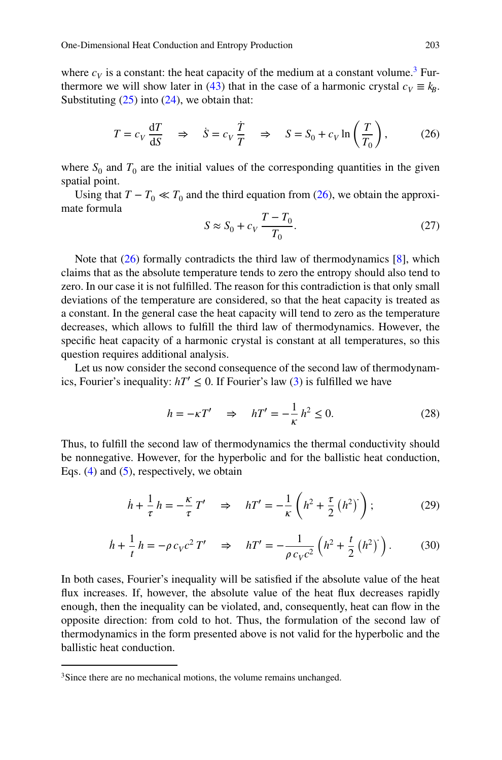<span id="page-6-0"></span>where  $c_V$  is a constant: the heat capacity of the medium at a constant volume.<sup>3</sup> Fur-thermore we will show later in [\(43\)](#page-10-0) that in the case of a harmonic crystal  $c_V \equiv k_B$ . Substituting  $(25)$  into  $(24)$ , we obtain that:

$$
T = c_V \frac{dT}{dS} \quad \Rightarrow \quad \dot{S} = c_V \frac{\dot{T}}{T} \quad \Rightarrow \quad S = S_0 + c_V \ln\left(\frac{T}{T_0}\right),\tag{26}
$$

where  $S_0$  and  $T_0$  are the initial values of the corresponding quantities in the given spatial point.

Using that  $T - T_0 \ll T_0$  and the third equation from (26), we obtain the approximate formula

$$
S \approx S_0 + c_V \frac{T - T_0}{T_0}.
$$
\n(27)

Note that  $(26)$  formally contradicts the third law of thermodynamics  $[8]$  $[8]$ , which claims that as the absolute temperature tends to zero the entropy should also tend to zero. In our case it is not fulfilled. The reason for this contradiction is that only small deviations of the temperature are considered, so that the heat capacity is treated as a constant. In the general case the heat capacity will tend to zero as the temperature decreases, which allows to fulfill the third law of thermodynamics. However, the specific heat capacity of a harmonic crystal is constant at all temperatures, so this question requires additional analysis.

Let us now consider the second consequence of the second law of thermodynamics, Fourier's inequality:  $hT' \leq 0$ . If Fourier's law [\(3\)](#page-1-0) is fulfilled we have

$$
h = -\kappa T' \quad \Rightarrow \quad hT' = -\frac{1}{\kappa} h^2 \le 0. \tag{28}
$$

Thus, to fulfill the second law of thermodynamics the thermal conductivity should be nonnegative. However, for the hyperbolic and for the ballistic heat conduction, Eqs.  $(4)$  and  $(5)$ , respectively, we obtain

$$
\dot{h} + \frac{1}{\tau} h = -\frac{\kappa}{\tau} T' \quad \Rightarrow \quad hT' = -\frac{1}{\kappa} \left( h^2 + \frac{\tau}{2} \left( h^2 \right)^2 \right); \tag{29}
$$

$$
\dot{h} + \frac{1}{t} h = -\rho c_V c^2 T' \quad \Rightarrow \quad hT' = -\frac{1}{\rho c_V c^2} \left( h^2 + \frac{t}{2} \left( h^2 \right)^2 \right). \tag{30}
$$

In both cases, Fourier's inequality will be satisfied if the absolute value of the heat flux increases. If, however, the absolute value of the heat flux decreases rapidly enough, then the inequality can be violated, and, consequently, heat can flow in the opposite direction: from cold to hot. Thus, the formulation of the second law of thermodynamics in the form presented above is not valid for the hyperbolic and the ballistic heat conduction.

<sup>&</sup>lt;sup>3</sup>Since there are no mechanical motions, the volume remains unchanged.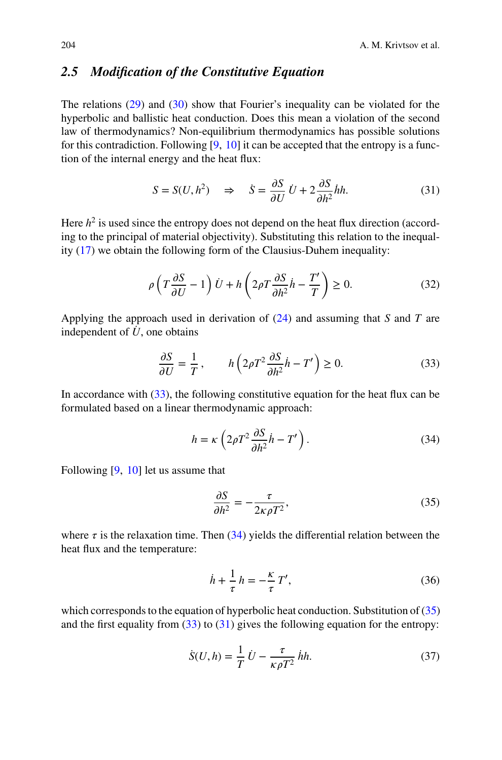# <span id="page-7-0"></span>*2.5 Modification of the Constitutive Equation*

The relations [\(29\)](#page-6-0) and [\(30\)](#page-6-0) show that Fourier's inequality can be violated for the hyperbolic and ballistic heat conduction. Does this mean a violation of the second law of thermodynamics? Non-equilibrium thermodynamics has possible solutions for this contradiction. Following  $[9, 10]$  $[9, 10]$  $[9, 10]$  $[9, 10]$  it can be accepted that the entropy is a function of the internal energy and the heat flux:

$$
S = S(U, h^2) \Rightarrow \dot{S} = \frac{\partial S}{\partial U} \dot{U} + 2 \frac{\partial S}{\partial h^2} \dot{h}h.
$$
 (31)

Here  $h<sup>2</sup>$  is used since the entropy does not depend on the heat flux direction (according to the principal of material objectivity). Substituting this relation to the inequality [\(17\)](#page-4-0) we obtain the following form of the Clausius-Duhem inequality:

$$
\rho \left( T \frac{\partial S}{\partial U} - 1 \right) \dot{U} + h \left( 2 \rho T \frac{\partial S}{\partial h^2} \dot{h} - \frac{T'}{T} \right) \ge 0. \tag{32}
$$

Applying the approach used in derivation of [\(24\)](#page-5-0) and assuming that *S* and *T* are independent of  $\dot{U}$ , one obtains

$$
\frac{\partial S}{\partial U} = \frac{1}{T}, \qquad h\left(2\rho T^2 \frac{\partial S}{\partial h^2} \dot{h} - T'\right) \ge 0.
$$
 (33)

In accordance with (33), the following constitutive equation for the heat flux can be formulated based on a linear thermodynamic approach:

$$
h = \kappa \left( 2\rho T^2 \frac{\partial S}{\partial h^2} \dot{h} - T' \right). \tag{34}
$$

Following [\[9](#page-16-0), [10](#page-16-0)] let us assume that

$$
\frac{\partial S}{\partial h^2} = -\frac{\tau}{2\kappa \rho T^2},\tag{35}
$$

where  $\tau$  is the relaxation time. Then (34) yields the differential relation between the heat flux and the temperature:

$$
\dot{h} + \frac{1}{\tau} h = -\frac{\kappa}{\tau} T',\tag{36}
$$

which corresponds to the equation of hyperbolic heat conduction. Substitution of (35) and the first equality from  $(33)$  to  $(31)$  gives the following equation for the entropy:

$$
\dot{S}(U,h) = \frac{1}{T} \dot{U} - \frac{\tau}{\kappa \rho T^2} \dot{h}h.
$$
\n(37)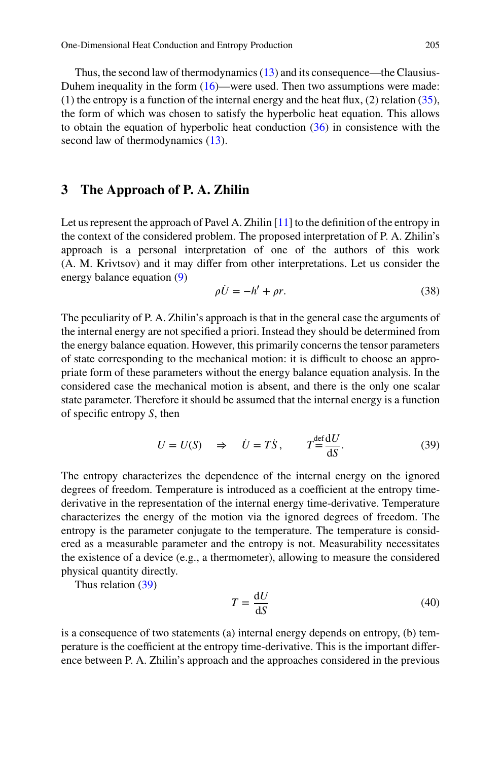<span id="page-8-0"></span>Thus, the second law of thermodynamics  $(13)$  and its consequence—the Clausius-Duhem inequality in the form  $(16)$ —were used. Then two assumptions were made: (1) the entropy is a function of the internal energy and the heat flux, (2) relation [\(35\)](#page-7-0), the form of which was chosen to satisfy the hyperbolic heat equation. This allows to obtain the equation of hyperbolic heat conduction [\(36\)](#page-7-0) in consistence with the second law of thermodynamics  $(13)$ .

#### **3 The Approach of P. A. Zhilin**

Let us represent the approach of Pavel A. Zhilin [\[11](#page-16-0)] to the definition of the entropy in the context of the considered problem. The proposed interpretation of P. A. Zhilin's approach is a personal interpretation of one of the authors of this work (A. M. Krivtsov) and it may differ from other interpretations. Let us consider the energy balance equation [\(9\)](#page-3-0)

$$
\rho \dot{U} = -h' + \rho r. \tag{38}
$$

The peculiarity of P. A. Zhilin's approach is that in the general case the arguments of the internal energy are not specified a priori. Instead they should be determined from the energy balance equation. However, this primarily concerns the tensor parameters of state corresponding to the mechanical motion: it is difficult to choose an appropriate form of these parameters without the energy balance equation analysis. In the considered case the mechanical motion is absent, and there is the only one scalar state parameter. Therefore it should be assumed that the internal energy is a function of specific entropy *S*, then

$$
U = U(S) \quad \Rightarrow \quad \dot{U} = T\dot{S}, \qquad T = \frac{\det dU}{dS}.
$$

The entropy characterizes the dependence of the internal energy on the ignored degrees of freedom. Temperature is introduced as a coefficient at the entropy timederivative in the representation of the internal energy time-derivative. Temperature characterizes the energy of the motion via the ignored degrees of freedom. The entropy is the parameter conjugate to the temperature. The temperature is considered as a measurable parameter and the entropy is not. Measurability necessitates the existence of a device (e.g., a thermometer), allowing to measure the considered physical quantity directly.

Thus relation (39)

$$
T = \frac{\mathrm{d}U}{\mathrm{d}S} \tag{40}
$$

is a consequence of two statements (a) internal energy depends on entropy, (b) temperature is the coefficient at the entropy time-derivative. This is the important difference between P. A. Zhilin's approach and the approaches considered in the previous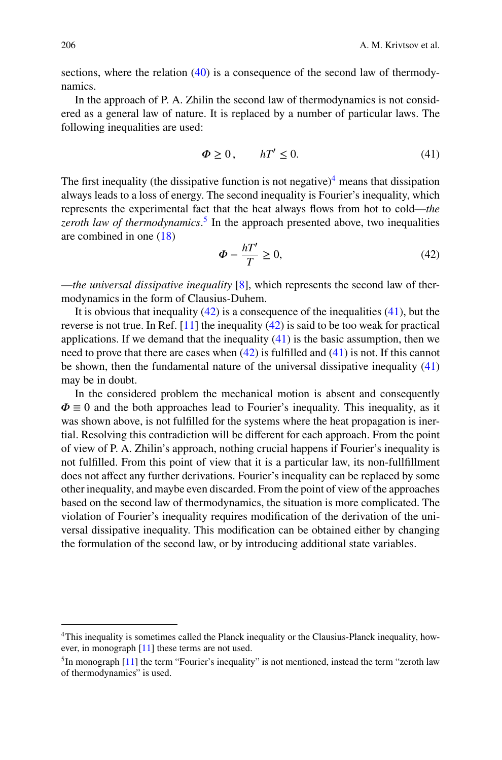sections, where the relation [\(40\)](#page-8-0) is a consequence of the second law of thermodynamics.

In the approach of P. A. Zhilin the second law of thermodynamics is not considered as a general law of nature. It is replaced by a number of particular laws. The following inequalities are used:

$$
\Phi \ge 0, \qquad hT' \le 0. \tag{41}
$$

The first inequality (the dissipative function is not negative)<sup>4</sup> means that dissipation always leads to a loss of energy. The second inequality is Fourier's inequality, which represents the experimental fact that the heat always flows from hot to cold—*the zeroth law of thermodynamics*. <sup>5</sup> In the approach presented above, two inequalities are combined in one [\(18\)](#page-4-0)

$$
\Phi - \frac{hT'}{T} \ge 0,\tag{42}
$$

—*the universal dissipative inequality* [\[8](#page-16-0)], which represents the second law of thermodynamics in the form of Clausius-Duhem.

It is obvious that inequality  $(42)$  is a consequence of the inequalities  $(41)$ , but the reverse is not true. In Ref.  $[11]$  the inequality  $(42)$  is said to be too weak for practical applications. If we demand that the inequality  $(41)$  is the basic assumption, then we need to prove that there are cases when  $(42)$  is fulfilled and  $(41)$  is not. If this cannot be shown, then the fundamental nature of the universal dissipative inequality (41) may be in doubt.

In the considered problem the mechanical motion is absent and consequently  $\Phi \equiv 0$  and the both approaches lead to Fourier's inequality. This inequality, as it was shown above, is not fulfilled for the systems where the heat propagation is inertial. Resolving this contradiction will be different for each approach. From the point of view of P. A. Zhilin's approach, nothing crucial happens if Fourier's inequality is not fulfilled. From this point of view that it is a particular law, its non-fullfillment does not affect any further derivations. Fourier's inequality can be replaced by some other inequality, and maybe even discarded. From the point of view of the approaches based on the second law of thermodynamics, the situation is more complicated. The violation of Fourier's inequality requires modification of the derivation of the universal dissipative inequality. This modification can be obtained either by changing the formulation of the second law, or by introducing additional state variables.

<sup>&</sup>lt;sup>4</sup>This inequality is sometimes called the Planck inequality or the Clausius-Planck inequality, however, in monograph [\[11\]](#page-16-0) these terms are not used.

 $<sup>5</sup>$ In monograph [\[11](#page-16-0)] the term "Fourier's inequality" is not mentioned, instead the term "zeroth law</sup> of thermodynamics" is used.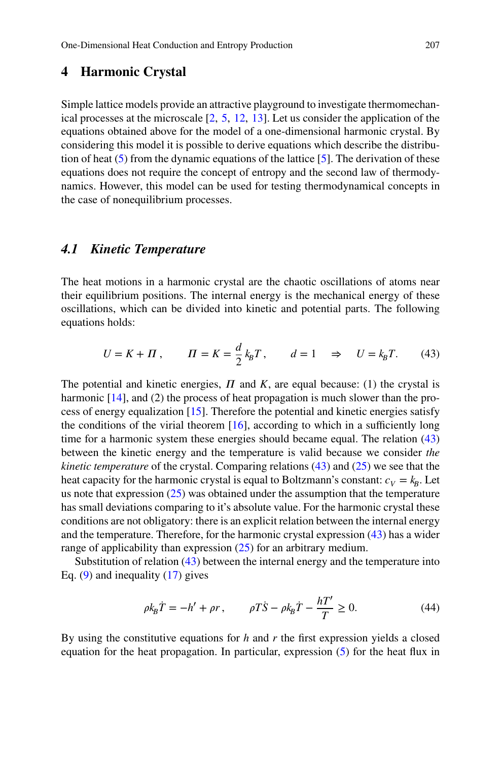# <span id="page-10-0"></span>**4 Harmonic Crystal**

Simple lattice models provide an attractive playground to investigate thermomechanical processes at the microscale [\[2](#page-15-0), [5](#page-16-0), [12,](#page-16-0) [13\]](#page-16-0). Let us consider the application of the equations obtained above for the model of a one-dimensional harmonic crystal. By considering this model it is possible to derive equations which describe the distribution of heat  $(5)$  from the dynamic equations of the lattice [\[5](#page-16-0)]. The derivation of these equations does not require the concept of entropy and the second law of thermodynamics. However, this model can be used for testing thermodynamical concepts in the case of nonequilibrium processes.

## *4.1 Kinetic Temperature*

The heat motions in a harmonic crystal are the chaotic oscillations of atoms near their equilibrium positions. The internal energy is the mechanical energy of these oscillations, which can be divided into kinetic and potential parts. The following equations holds:

$$
U = K + \Pi, \qquad \Pi = K = \frac{d}{2} k_B T, \qquad d = 1 \quad \Rightarrow \quad U = k_B T. \tag{43}
$$

The potential and kinetic energies,  $\Pi$  and  $K$ , are equal because: (1) the crystal is harmonic [\[14](#page-16-0)], and (2) the process of heat propagation is much slower than the process of energy equalization [\[15\]](#page-16-0). Therefore the potential and kinetic energies satisfy the conditions of the virial theorem  $[16]$  $[16]$ , according to which in a sufficiently long time for a harmonic system these energies should became equal. The relation (43) between the kinetic energy and the temperature is valid because we consider *the kinetic temperature* of the crystal. Comparing relations (43) and [\(25\)](#page-5-0) we see that the heat capacity for the harmonic crystal is equal to Boltzmann's constant:  $c_V = k_B$ . Let us note that expression [\(25\)](#page-5-0) was obtained under the assumption that the temperature has small deviations comparing to it's absolute value. For the harmonic crystal these conditions are not obligatory: there is an explicit relation between the internal energy and the temperature. Therefore, for the harmonic crystal expression (43) has a wider range of applicability than expression [\(25\)](#page-5-0) for an arbitrary medium.

Substitution of relation (43) between the internal energy and the temperature into Eq.  $(9)$  and inequality  $(17)$  gives

$$
\rho k_{\rm B}\dot{T} = -h' + \rho r, \qquad \rho T\dot{S} - \rho k_{\rm B}\dot{T} - \frac{hT'}{T} \ge 0. \tag{44}
$$

By using the constitutive equations for *h* and *r* the first expression yields a closed equation for the heat propagation. In particular, expression [\(5\)](#page-1-0) for the heat flux in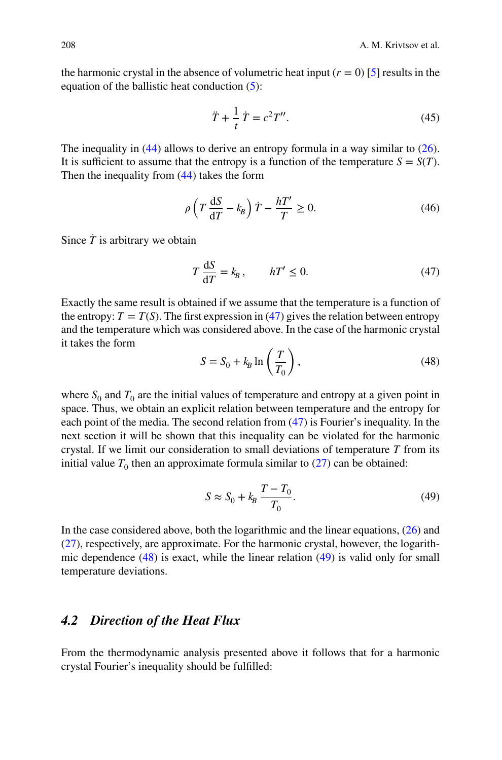<span id="page-11-0"></span>the harmonic crystal in the absence of volumetric heat input  $(r = 0)$  [\[5\]](#page-16-0) results in the equation of the ballistic heat conduction [\(5\)](#page-1-0):

$$
\ddot{T} + \frac{1}{t}\dot{T} = c^2 T''.
$$
 (45)

The inequality in  $(44)$  allows to derive an entropy formula in a way similar to  $(26)$ . It is sufficient to assume that the entropy is a function of the temperature  $S = S(T)$ . Then the inequality from [\(44\)](#page-10-0) takes the form

$$
\rho \left( T \frac{\mathrm{d}S}{\mathrm{d}T} - k_B \right) \dot{T} - \frac{hT'}{T} \ge 0. \tag{46}
$$

Since  $\dot{T}$  is arbitrary we obtain

$$
T\frac{\mathrm{d}S}{\mathrm{d}T} = k_B, \qquad hT' \le 0. \tag{47}
$$

Exactly the same result is obtained if we assume that the temperature is a function of the entropy:  $T = T(S)$ . The first expression in (47) gives the relation between entropy and the temperature which was considered above. In the case of the harmonic crystal it takes the form  $\mathbf{r}$ 

$$
S = S_0 + k_B \ln\left(\frac{T}{T_0}\right),\tag{48}
$$

where  $S_0$  and  $T_0$  are the initial values of temperature and entropy at a given point in space. Thus, we obtain an explicit relation between temperature and the entropy for each point of the media. The second relation from (47) is Fourier's inequality. In the next section it will be shown that this inequality can be violated for the harmonic crystal. If we limit our consideration to small deviations of temperature *T* from its initial value  $T_0$  then an approximate formula similar to  $(27)$  can be obtained:

$$
S \approx S_0 + k_B \frac{T - T_0}{T_0}.\tag{49}
$$

In the case considered above, both the logarithmic and the linear equations, [\(26\)](#page-6-0) and [\(27\)](#page-6-0), respectively, are approximate. For the harmonic crystal, however, the logarithmic dependence  $(48)$  is exact, while the linear relation  $(49)$  is valid only for small temperature deviations.

# *4.2 Direction of the Heat Flux*

From the thermodynamic analysis presented above it follows that for a harmonic crystal Fourier's inequality should be fulfilled: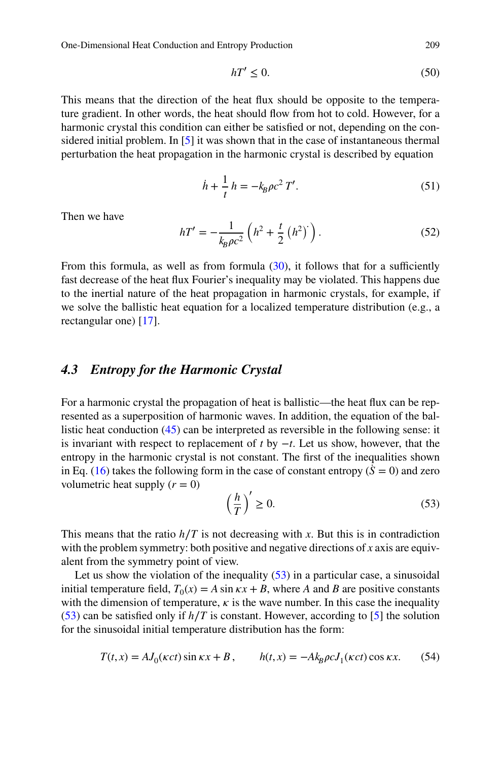<span id="page-12-0"></span>One-Dimensional Heat Conduction and Entropy Production 209

$$
hT' \le 0. \tag{50}
$$

This means that the direction of the heat flux should be opposite to the temperature gradient. In other words, the heat should flow from hot to cold. However, for a harmonic crystal this condition can either be satisfied or not, depending on the considered initial problem. In [\[5\]](#page-16-0) it was shown that in the case of instantaneous thermal perturbation the heat propagation in the harmonic crystal is described by equation

$$
\dot{h} + \frac{1}{t} h = -k_B \rho c^2 T'.
$$
\n(51)

Then we have

$$
hT' = -\frac{1}{k_B \rho c^2} \left( h^2 + \frac{t}{2} \left( h^2 \right)^2 \right). \tag{52}
$$

From this formula, as well as from formula  $(30)$ , it follows that for a sufficiently fast decrease of the heat flux Fourier's inequality may be violated. This happens due to the inertial nature of the heat propagation in harmonic crystals, for example, if we solve the ballistic heat equation for a localized temperature distribution (e.g., a rectangular one) [\[17](#page-16-0)].

#### *4.3 Entropy for the Harmonic Crystal*

For a harmonic crystal the propagation of heat is ballistic—the heat flux can be represented as a superposition of harmonic waves. In addition, the equation of the ballistic heat conduction [\(45\)](#page-11-0) can be interpreted as reversible in the following sense: it is invariant with respect to replacement of *t* by −*t*. Let us show, however, that the entropy in the harmonic crystal is not constant. The first of the inequalities shown in Eq. [\(16\)](#page-4-0) takes the following form in the case of constant entropy ( $\dot{S} = 0$ ) and zero volumetric heat supply  $(r = 0)$  $\mathcal{L}$ 

$$
\left(\frac{h}{T}\right)' \ge 0.\tag{53}
$$

This means that the ratio  $h/T$  is not decreasing with *x*. But this is in contradiction with the problem symmetry: both positive and negative directions of *x* axis are equivalent from the symmetry point of view.

Let us show the violation of the inequality (53) in a particular case, a sinusoidal initial temperature field,  $T_0(x) = A \sin kx + B$ , where *A* and *B* are positive constants with the dimension of temperature,  $\kappa$  is the wave number. In this case the inequality (53) can be satisfied only if *h*∕*T* is constant. However, according to [\[5](#page-16-0)] the solution for the sinusoidal initial temperature distribution has the form:

$$
T(t,x) = AJ_0(\kappa ct)\sin \kappa x + B, \qquad h(t,x) = -Ak_B\rho cJ_1(\kappa ct)\cos \kappa x. \tag{54}
$$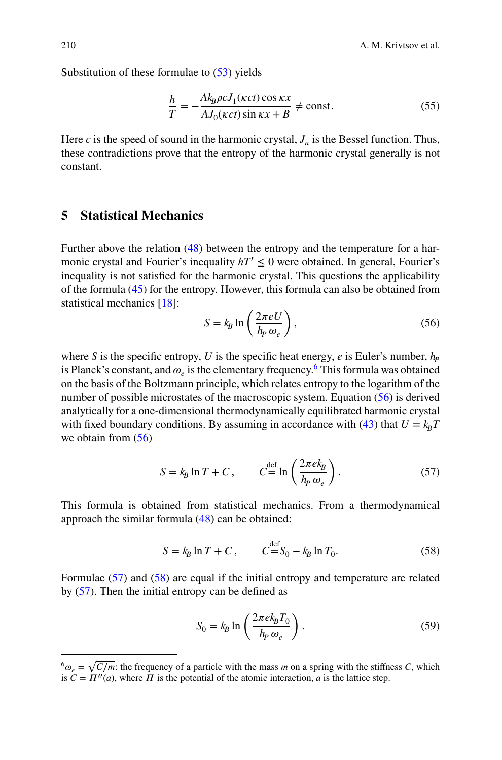Substitution of these formulae to [\(53\)](#page-12-0) yields

$$
\frac{h}{T} = -\frac{Ak_B\rho cJ_1(\kappa ct)\cos\kappa x}{A J_0(\kappa ct)\sin\kappa x + B} \neq \text{const.}
$$
\n(55)

Here *c* is the speed of sound in the harmonic crystal,  $J_n$  is the Bessel function. Thus, these contradictions prove that the entropy of the harmonic crystal generally is not constant.

# **5 Statistical Mechanics**

Further above the relation [\(48\)](#page-11-0) between the entropy and the temperature for a harmonic crystal and Fourier's inequality  $hT' \leq 0$  were obtained. In general, Fourier's inequality is not satisfied for the harmonic crystal. This questions the applicability of the formula [\(45\)](#page-11-0) for the entropy. However, this formula can also be obtained from statistical mechanics [\[18](#page-16-0)]:  $\mathbf{r}$ 

$$
S = k_B \ln\left(\frac{2\pi eU}{h_P \omega_e}\right),\tag{56}
$$

where *S* is the specific entropy, *U* is the specific heat energy, *e* is Euler's number,  $h_p$ is Planck's constant, and  $\omega$ <sub>e</sub> is the elementary frequency.<sup>6</sup> This formula was obtained on the basis of the Boltzmann principle, which relates entropy to the logarithm of the number of possible microstates of the macroscopic system. Equation (56) is derived analytically for a one-dimensional thermodynamically equilibrated harmonic crystal with fixed boundary conditions. By assuming in accordance with [\(43\)](#page-10-0) that  $U = k_B T$ we obtain from (56)

$$
S = k_B \ln T + C, \qquad C = \ln \left( \frac{2\pi e k_B}{h_P \omega_e} \right). \tag{57}
$$

This formula is obtained from statistical mechanics. From a thermodynamical approach the similar formula [\(48\)](#page-11-0) can be obtained:

$$
S = k_B \ln T + C, \qquad C = S_0 - k_B \ln T_0. \tag{58}
$$

Formulae (57) and (58) are equal if the initial entropy and temperature are related by (57). Then the initial entropy can be defined as

$$
S_0 = k_B \ln \left( \frac{2\pi e k_B T_0}{h_P \omega_e} \right). \tag{59}
$$

 $^{6}\omega$ <sub>e</sub> =  $\sqrt{C/m}$ : the frequency of a particle with the mass *m* on a spring with the stiffness *C*, which is  $C = \Pi''(a)$ , where  $\Pi$  is the potential of the atomic interaction, *a* is the lattice step.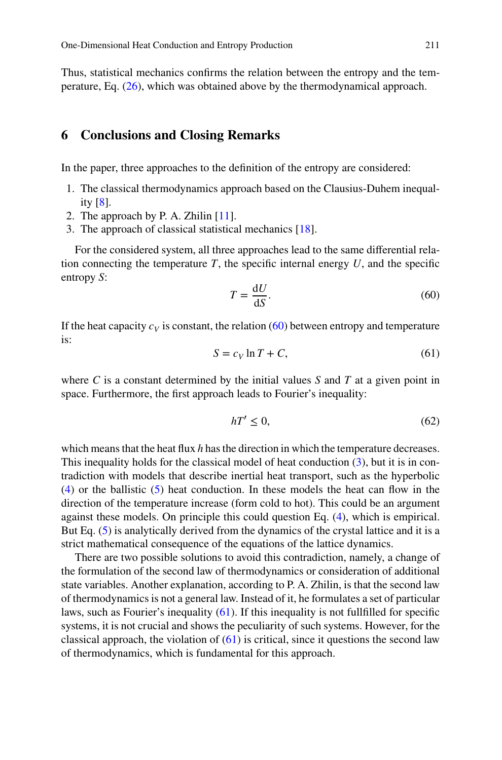Thus, statistical mechanics confirms the relation between the entropy and the temperature, Eq.  $(26)$ , which was obtained above by the thermodynamical approach.

## **6 Conclusions and Closing Remarks**

In the paper, three approaches to the definition of the entropy are considered:

- 1. The classical thermodynamics approach based on the Clausius-Duhem inequality [\[8\]](#page-16-0).
- 2. The approach by P. A. Zhilin [\[11](#page-16-0)].
- 3. The approach of classical statistical mechanics [\[18](#page-16-0)].

For the considered system, all three approaches lead to the same differential relation connecting the temperature  $T$ , the specific internal energy  $U$ , and the specific entropy *S*:

$$
T = \frac{\mathrm{d}U}{\mathrm{d}S}.\tag{60}
$$

If the heat capacity  $c_V$  is constant, the relation  $(60)$  between entropy and temperature is:

$$
S = c_V \ln T + C,\tag{61}
$$

where *C* is a constant determined by the initial values *S* and *T* at a given point in space. Furthermore, the first approach leads to Fourier's inequality:

$$
hT' \le 0,\tag{62}
$$

which means that the heat flux *h* has the direction in which the temperature decreases. This inequality holds for the classical model of heat conduction  $(3)$ , but it is in contradiction with models that describe inertial heat transport, such as the hyperbolic [\(4\)](#page-1-0) or the ballistic [\(5\)](#page-1-0) heat conduction. In these models the heat can flow in the direction of the temperature increase (form cold to hot). This could be an argument against these models. On principle this could question Eq. [\(4\)](#page-1-0), which is empirical. But Eq. [\(5\)](#page-1-0) is analytically derived from the dynamics of the crystal lattice and it is a strict mathematical consequence of the equations of the lattice dynamics.

There are two possible solutions to avoid this contradiction, namely, a change of the formulation of the second law of thermodynamics or consideration of additional state variables. Another explanation, according to P. A. Zhilin, is that the second law of thermodynamics is not a general law. Instead of it, he formulates a set of particular laws, such as Fourier's inequality (61). If this inequality is not fullfilled for specific systems, it is not crucial and shows the peculiarity of such systems. However, for the classical approach, the violation of  $(61)$  is critical, since it questions the second law of thermodynamics, which is fundamental for this approach.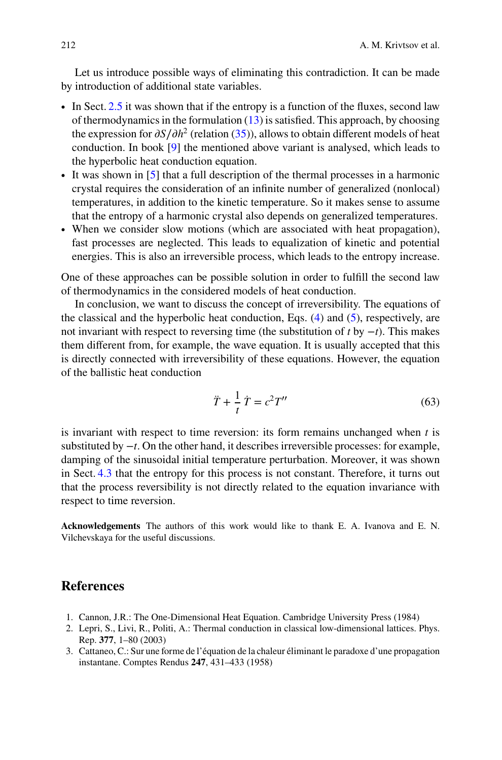<span id="page-15-0"></span>Let us introduce possible ways of eliminating this contradiction. It can be made by introduction of additional state variables.

- ∙ In Sect. [2.5](#page-7-0) it was shown that if the entropy is a function of the fluxes, second law of thermodynamics in the formulation  $(13)$  is satisfied. This approach, by choosing the expression for  $\partial S/\partial h^2$  (relation [\(35\)](#page-7-0)), allows to obtain different models of heat conduction. In book [\[9\]](#page-16-0) the mentioned above variant is analysed, which leads to the hyperbolic heat conduction equation.
- ∙ It was shown in [\[5](#page-16-0)] that a full description of the thermal processes in a harmonic crystal requires the consideration of an infinite number of generalized (nonlocal) temperatures, in addition to the kinetic temperature. So it makes sense to assume that the entropy of a harmonic crystal also depends on generalized temperatures.
- ∙ When we consider slow motions (which are associated with heat propagation), fast processes are neglected. This leads to equalization of kinetic and potential energies. This is also an irreversible process, which leads to the entropy increase.

One of these approaches can be possible solution in order to fulfill the second law of thermodynamics in the considered models of heat conduction.

In conclusion, we want to discuss the concept of irreversibility. The equations of the classical and the hyperbolic heat conduction, Eqs.  $(4)$  and  $(5)$ , respectively, are not invariant with respect to reversing time (the substitution of *t* by −*t*). This makes them different from, for example, the wave equation. It is usually accepted that this is directly connected with irreversibility of these equations. However, the equation of the ballistic heat conduction

$$
\ddot{T} + \frac{1}{t}\dot{T} = c^2 T''\tag{63}
$$

is invariant with respect to time reversion: its form remains unchanged when *t* is substituted by −*t*. On the other hand, it describes irreversible processes: for example, damping of the sinusoidal initial temperature perturbation. Moreover, it was shown in Sect. [4.3](#page-12-0) that the entropy for this process is not constant. Therefore, it turns out that the process reversibility is not directly related to the equation invariance with respect to time reversion.

**Acknowledgements** The authors of this work would like to thank E. A. Ivanova and E. N. Vilchevskaya for the useful discussions.

# **References**

- 1. Cannon, J.R.: The One-Dimensional Heat Equation. Cambridge University Press (1984)
- 2. Lepri, S., Livi, R., Politi, A.: Thermal conduction in classical low-dimensional lattices. Phys. Rep. **377**, 1–80 (2003)
- 3. Cattaneo, C.: Sur une forme de l'équation de la chaleur éliminant le paradoxe d'une propagation instantane. Comptes Rendus **247**, 431–433 (1958)